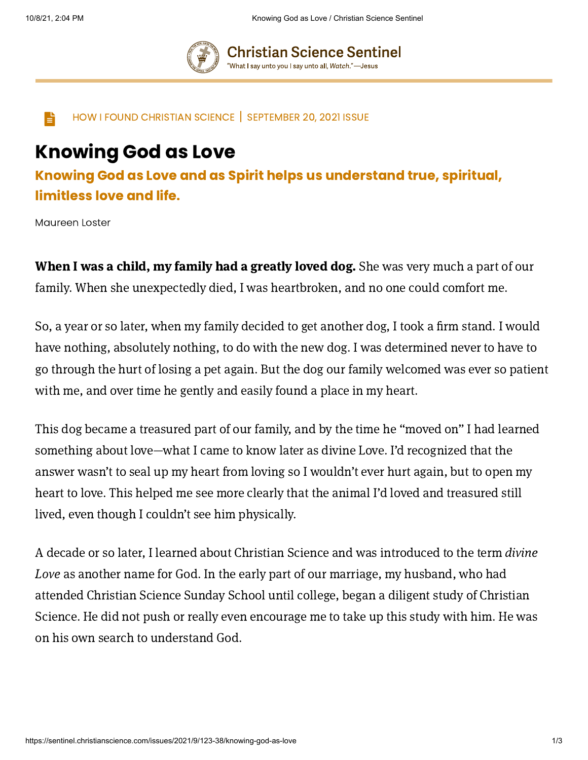

**Christian Science Sentinel** "What I say unto you I say unto all, Watch."—Jesus

 $\Box$  HOW I FOUND CHRISTIAN SCIENCE SEPTEMBER 20, 2021 ISSUE

## Knowing God as Love

Knowing God as Love and as Spirit helps us understand true, spiritual, limitless love and life.

Maureen Loster

When I was a child, my family had a greatly loved dog. She was very much a part of our family. When she unexpectedly died, I was heartbroken, and no one could comfort me.

So, a year or so later, when my family decided to get another dog, I took a firm stand. I would have nothing, absolutely nothing, to do with the new dog. I was determined never to have to go through the hurt of losing a pet again. But the dog our family welcomed was ever so patient with me, and over time he gently and easily found a place in my heart.

This dog became a treasured part of our family, and by the time he "moved on" I had learned something about love—what I came to know later as divine Love. I'd recognized that the answer wasn't to seal up my heart from loving so I wouldn't ever hurt again, but to open my heart to love. This helped me see more clearly that the animal I'd loved and treasured still lived, even though I couldn't see him physically.

A decade or so later, I learned about Christian Science and was introduced to the term divine Love as another name for God. In the early part of our marriage, my husband, who had attended Christian Science Sunday School until college, began a diligent study of Christian Science. He did not push or really even encourage me to take up this study with him. He was on his own search to understand God.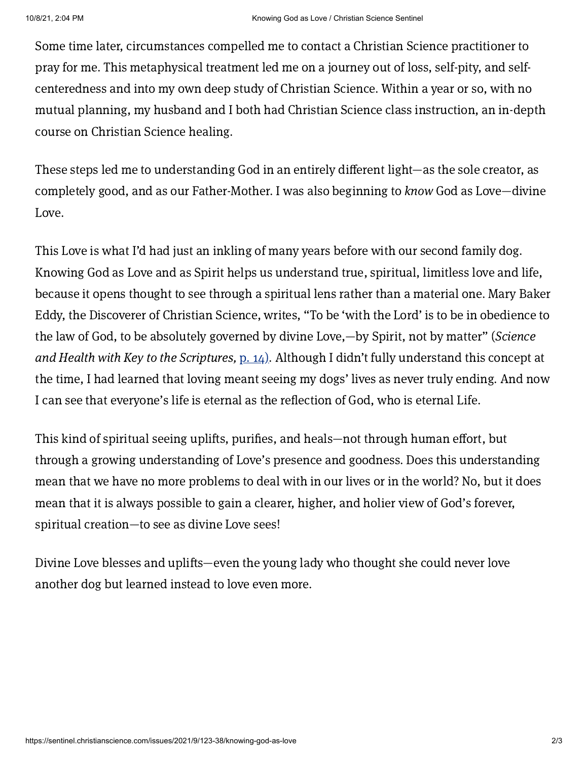Some time later, circumstances compelled me to contact a Christian Science practitioner to pray for me. This metaphysical treatment led me on a journey out of loss, self-pity, and selfcenteredness and into my own deep study of Christian Science. Within a year or so, with no mutual planning, my husband and I both had Christian Science class instruction, an in-depth course on Christian Science healing.

These steps led me to understanding God in an entirely different light—as the sole creator, as completely good, and as our Father-Mother. I was also beginning to know God as Love—divine Love.

This Love is what I'd had just an inkling of many years before with our second family dog. Knowing God as Love and as Spirit helps us understand true, spiritual, limitless love and life, because it opens thought to see through a spiritual lens rather than a material one. Mary Baker Eddy, the Discoverer of Christian Science, writes, "To be 'with the Lord' is to be in obedience to the law of God, to be absolutely governed by divine Love,—by Spirit, not by matter" (Science and Health with Key to the Scriptures, p.  $14$ ). Although I didn't fully understand this concept at the time, I had learned that loving meant seeing my dogs' lives as never truly ending. And now I can see that everyone's life is eternal as the reflection of God, who is eternal Life.

This kind of spiritual seeing uplifts, purifies, and heals—not through human effort, but through a growing understanding of Love's presence and goodness. Does this understanding mean that we have no more problems to deal with in our lives or in the world? No, but it does mean that it is always possible to gain a clearer, higher, and holier view of God's forever, spiritual creation—to see as divine Love sees!

Divine Love blesses and uplifts—even the young lady who thought she could never love another dog but learned instead to love even more.